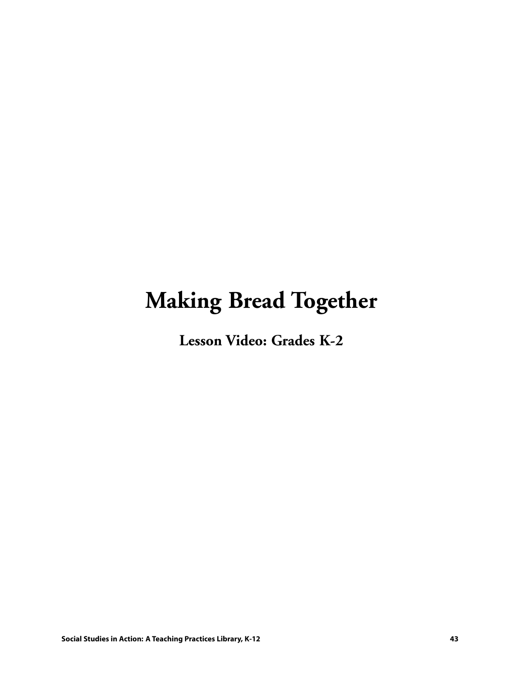# **Making Bread Together**

**Lesson Video: Grades K-2**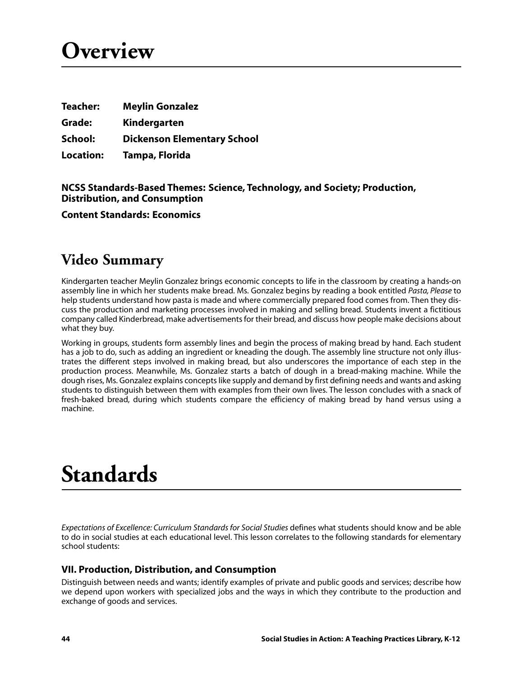# **Overview**

| <b>Teacher:</b>  | <b>Meylin Gonzalez</b>             |
|------------------|------------------------------------|
| Grade:           | Kindergarten                       |
| School:          | <b>Dickenson Elementary School</b> |
| <b>Location:</b> | Tampa, Florida                     |

#### **NCSS Standards-Based Themes: Science, Technology, and Society; Production, Distribution, and Consumption**

**Content Standards: Economics**

### **Video Summary**

Kindergarten teacher Meylin Gonzalez brings economic concepts to life in the classroom by creating a hands-on assembly line in which her students make bread. Ms. Gonzalez begins by reading a book entitled *Pasta, Please* to help students understand how pasta is made and where commercially prepared food comes from. Then they discuss the production and marketing processes involved in making and selling bread. Students invent a fictitious company called Kinderbread, make advertisements for their bread, and discuss how people make decisions about what they buy.

Working in groups, students form assembly lines and begin the process of making bread by hand. Each student has a job to do, such as adding an ingredient or kneading the dough. The assembly line structure not only illustrates the different steps involved in making bread, but also underscores the importance of each step in the production process. Meanwhile, Ms. Gonzalez starts a batch of dough in a bread-making machine. While the dough rises, Ms. Gonzalez explains concepts like supply and demand by first defining needs and wants and asking students to distinguish between them with examples from their own lives. The lesson concludes with a snack of fresh-baked bread, during which students compare the efficiency of making bread by hand versus using a machine.

# **Standards**

*Expectations of Excellence: Curriculum Standards for Social Studies* defines what students should know and be able to do in social studies at each educational level. This lesson correlates to the following standards for elementary school students:

### **VII. Production, Distribution, and Consumption**

Distinguish between needs and wants; identify examples of private and public goods and services; describe how we depend upon workers with specialized jobs and the ways in which they contribute to the production and exchange of goods and services.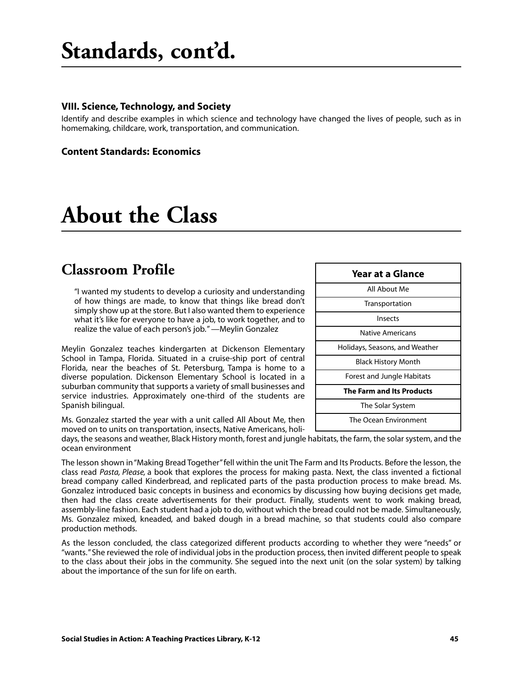#### **VIII. Science, Technology, and Society**

Identify and describe examples in which science and technology have changed the lives of people, such as in homemaking, childcare, work, transportation, and communication.

#### **Content Standards: Economics**

## **About the Class**

### **Classroom Profile**

"I wanted my students to develop a curiosity and understanding of how things are made, to know that things like bread don't simply show up at the store. But I also wanted them to experience what it's like for everyone to have a job, to work together, and to realize the value of each person's job." —Meylin Gonzalez

Meylin Gonzalez teaches kindergarten at Dickenson Elementary School in Tampa, Florida. Situated in a cruise-ship port of central Florida, near the beaches of St. Petersburg, Tampa is home to a diverse population. Dickenson Elementary School is located in a suburban community that supports a variety of small businesses and service industries. Approximately one-third of the students are Spanish bilingual.

Ms. Gonzalez started the year with a unit called All About Me, then moved on to units on transportation, insects, Native Americans, holi-

days, the seasons and weather, Black History month, forest and jungle habitats, the farm, the solar system, and the ocean environment

The lesson shown in "Making Bread Together" fell within the unit The Farm and Its Products. Before the lesson, the class read *Pasta, Please,* a book that explores the process for making pasta. Next, the class invented a fictional bread company called Kinderbread, and replicated parts of the pasta production process to make bread. Ms. Gonzalez introduced basic concepts in business and economics by discussing how buying decisions get made, then had the class create advertisements for their product. Finally, students went to work making bread, assembly-line fashion. Each student had a job to do, without which the bread could not be made. Simultaneously, Ms. Gonzalez mixed, kneaded, and baked dough in a bread machine, so that students could also compare production methods.

As the lesson concluded, the class categorized different products according to whether they were "needs" or "wants." She reviewed the role of individual jobs in the production process, then invited different people to speak to the class about their jobs in the community. She segued into the next unit (on the solar system) by talking about the importance of the sun for life on earth.

| <b>Year at a Glance</b>          |  |
|----------------------------------|--|
| All About Me                     |  |
| Transportation                   |  |
| Insects                          |  |
| Native Americans                 |  |
| Holidays, Seasons, and Weather   |  |
| <b>Black History Month</b>       |  |
| Forest and Jungle Habitats       |  |
| <b>The Farm and Its Products</b> |  |
| The Solar System                 |  |
| The Ocean Environment            |  |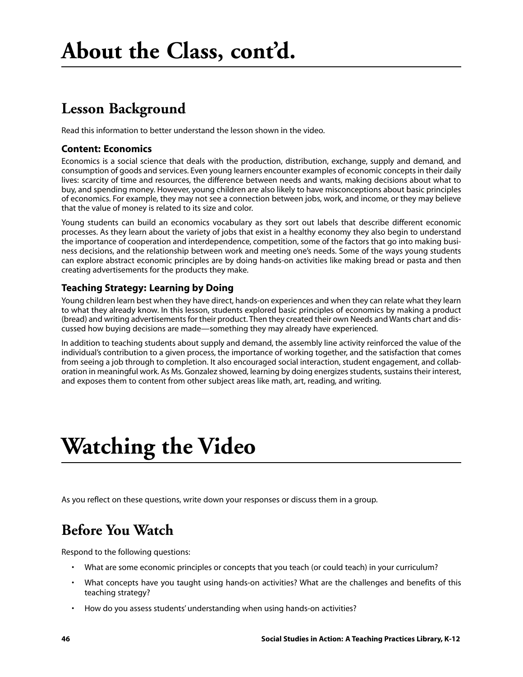## **Lesson Background**

Read this information to better understand the lesson shown in the video.

### **Content: Economics**

Economics is a social science that deals with the production, distribution, exchange, supply and demand, and consumption of goods and services. Even young learners encounter examples of economic concepts in their daily lives: scarcity of time and resources, the difference between needs and wants, making decisions about what to buy, and spending money. However, young children are also likely to have misconceptions about basic principles of economics. For example, they may not see a connection between jobs, work, and income, or they may believe that the value of money is related to its size and color.

Young students can build an economics vocabulary as they sort out labels that describe different economic processes. As they learn about the variety of jobs that exist in a healthy economy they also begin to understand the importance of cooperation and interdependence, competition, some of the factors that go into making business decisions, and the relationship between work and meeting one's needs. Some of the ways young students can explore abstract economic principles are by doing hands-on activities like making bread or pasta and then creating advertisements for the products they make.

### **Teaching Strategy: Learning by Doing**

Young children learn best when they have direct, hands-on experiences and when they can relate what they learn to what they already know. In this lesson, students explored basic principles of economics by making a product (bread) and writing advertisements for their product. Then they created their own Needs and Wants chart and discussed how buying decisions are made—something they may already have experienced.

In addition to teaching students about supply and demand, the assembly line activity reinforced the value of the individual's contribution to a given process, the importance of working together, and the satisfaction that comes from seeing a job through to completion. It also encouraged social interaction, student engagement, and collaboration in meaningful work. As Ms. Gonzalez showed, learning by doing energizes students, sustains their interest, and exposes them to content from other subject areas like math, art, reading, and writing.

# **Watching the Video**

As you reflect on these questions, write down your responses or discuss them in a group.

## **Before You Watch**

Respond to the following questions:

- What are some economic principles or concepts that you teach (or could teach) in your curriculum?
- What concepts have you taught using hands-on activities? What are the challenges and benefits of this teaching strategy?
- How do you assess students' understanding when using hands-on activities?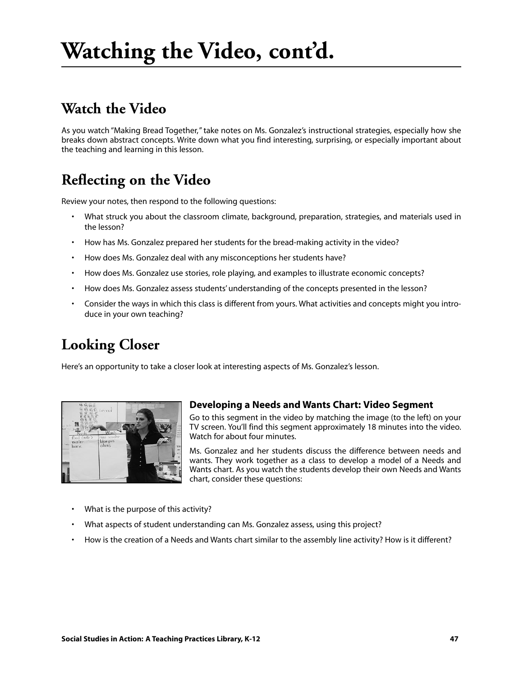## **Watch the Video**

As you watch "Making Bread Together," take notes on Ms. Gonzalez's instructional strategies, especially how she breaks down abstract concepts. Write down what you find interesting, surprising, or especially important about the teaching and learning in this lesson.

## **Reflecting on the Video**

Review your notes, then respond to the following questions:

- What struck you about the classroom climate, background, preparation, strategies, and materials used in the lesson?
- How has Ms. Gonzalez prepared her students for the bread-making activity in the video?
- How does Ms. Gonzalez deal with any misconceptions her students have?
- How does Ms. Gonzalez use stories, role playing, and examples to illustrate economic concepts?
- How does Ms. Gonzalez assess students' understanding of the concepts presented in the lesson?
- Consider the ways in which this class is different from yours. What activities and concepts might you introduce in your own teaching?

## **Looking Closer**

Here's an opportunity to take a closer look at interesting aspects of Ms. Gonzalez's lesson.



#### **Developing a Needs and Wants Chart: Video Segment**

Go to this segment in the video by matching the image (to the left) on your TV screen. You'll find this segment approximately 18 minutes into the video. Watch for about four minutes.

Ms. Gonzalez and her students discuss the difference between needs and wants. They work together as a class to develop a model of a Needs and Wants chart. As you watch the students develop their own Needs and Wants chart, consider these questions:

- What is the purpose of this activity?
- What aspects of student understanding can Ms. Gonzalez assess, using this project?
- How is the creation of a Needs and Wants chart similar to the assembly line activity? How is it different?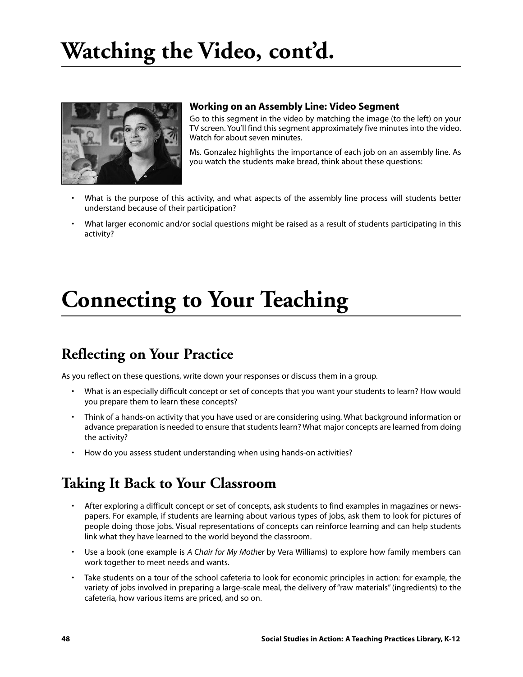

#### **Working on an Assembly Line: Video Segment**

Go to this segment in the video by matching the image (to the left) on your TV screen. You'll find this segment approximately five minutes into the video. Watch for about seven minutes.

Ms. Gonzalez highlights the importance of each job on an assembly line. As you watch the students make bread, think about these questions:

- What is the purpose of this activity, and what aspects of the assembly line process will students better understand because of their participation?
- What larger economic and/or social questions might be raised as a result of students participating in this activity?

# **Connecting to Your Teaching**

### **Reflecting on Your Practice**

As you reflect on these questions, write down your responses or discuss them in a group.

- What is an especially difficult concept or set of concepts that you want your students to learn? How would you prepare them to learn these concepts?
- Think of a hands-on activity that you have used or are considering using. What background information or advance preparation is needed to ensure that students learn? What major concepts are learned from doing the activity?
- How do you assess student understanding when using hands-on activities?

### **Taking It Back to Your Classroom**

- After exploring a difficult concept or set of concepts, ask students to find examples in magazines or newspapers. For example, if students are learning about various types of jobs, ask them to look for pictures of people doing those jobs. Visual representations of concepts can reinforce learning and can help students link what they have learned to the world beyond the classroom.
- Use a book (one example is *A Chair for My Mother* by Vera Williams) to explore how family members can work together to meet needs and wants.
- Take students on a tour of the school cafeteria to look for economic principles in action: for example, the variety of jobs involved in preparing a large-scale meal, the delivery of "raw materials" (ingredients) to the cafeteria, how various items are priced, and so on.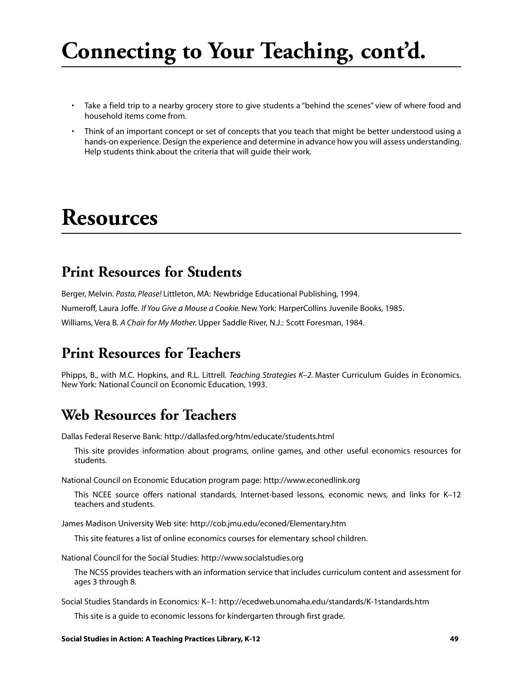# **Connecting to Your Teaching, cont'd.**

- Take a field trip to a nearby grocery store to give students a "behind the scenes" view of where food and household items come from.
- Think of an important concept or set of concepts that you teach that might be better understood using a hands-on experience. Design the experience and determine in advance how you will assess understanding. Help students think about the criteria that will guide their work.

## **Resources**

### **Print Resources for Students**

Berger, Melvin. *Pasta, Please!* Littleton, MA: Newbridge Educational Publishing, 1994. Numeroff, Laura Joffe. *If You Give a Mouse a Cookie.*New York: HarperCollins Juvenile Books, 1985. Williams, Vera B. *A Chair for My Mother.*Upper Saddle River, N.J.: Scott Foresman, 1984.

## **Print Resources for Teachers**

Phipps, B., with M.C. Hopkins, and R.L. Littrell. *Teaching Strategies K–2.* Master Curriculum Guides in Economics. New York: National Council on Economic Education, 1993.

### **Web Resources for Teachers**

Dallas Federal Reserve Bank: http://dallasfed.org/htm/educate/students.html

This site provides information about programs, online games, and other useful economics resources for students.

National Council on Economic Education program page: http://www.econedlink.org

This NCEE source offers national standards, Internet-based lessons, economic news, and links for K–12 teachers and students.

James Madison University Web site: http://cob.jmu.edu/econed/Elementary.htm

This site features a list of online economics courses for elementary school children.

National Council for the Social Studies: http://www.socialstudies.org

The NCSS provides teachers with an information service that includes curriculum content and assessment for ages 3 through 8.

Social Studies Standards in Economics: K–1: http://ecedweb.unomaha.edu/standards/K-1standards.htm

This site is a guide to economic lessons for kindergarten through first grade.

#### **Social Studies in Action: A Teaching Practices Library, K-12 49**